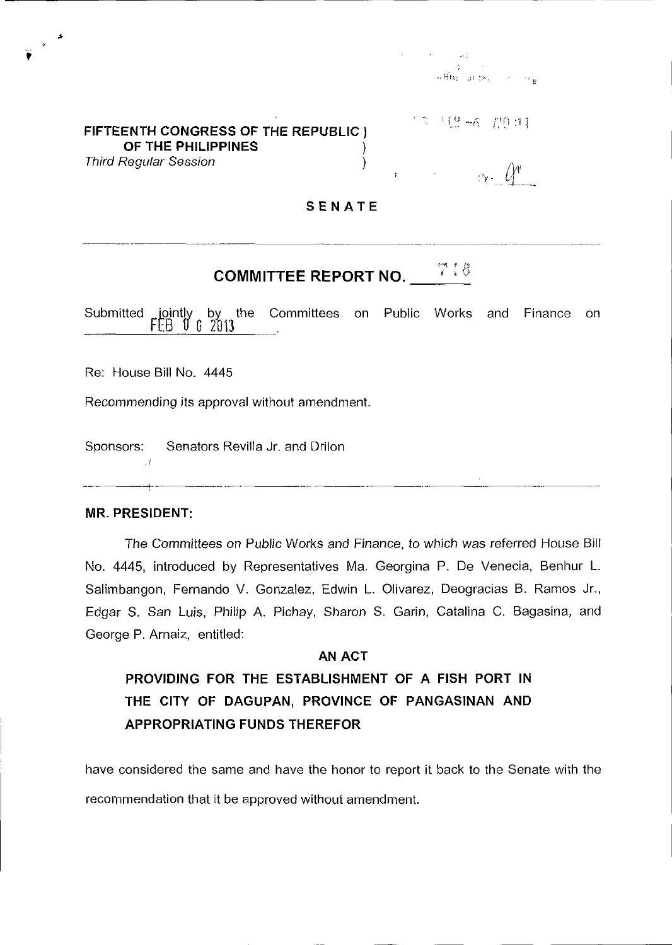### **FIFTEENTH CONGRESS OF THE REPUBLIC** J **OF THE PHILIPPINES** ) Third Regular Session )

 $+12 -6 - 120 + 11$ 

### **SENATE**

# **COMMITTEE REPORT NO. \_\_\_\_\_\_\_\_\_\_\_\_\_\_\_**

Submitted  $\mathsf{Lipintly}$  by the <u>FEB 0 6 2013</u> Committees on Public Works and Finance on

Re: House Bill No. 4445

 $\sum_{i=1}^{n}$ 

Recommending its approval without amendment.

-+-~-~------ ~~~~-.--~--.. ~~,

Sponsors: Senators Revilla Jr. and Drilon

#### **MR. PRESIDENT:**

 $, l$ 

The Committees on Public Works and Finance, to which was referred House Bill No. 4445, introduced by Representatives Ma. Georgina P. De Venecia, Benhur L. Salimbangon, Fernando V. Gonzalez, Edwin L. Olivarez, Deogracias B. Ramos Jr., Edgar S. San Luis, Philip A. Pichay, Sharon S. Garin, Catalina C. Bagasina, and George P. Arnaiz, entitled:

## AN ACT **PROVIDING FOR THE ESTABLISHMENT OF A FISH PORT IN THE CITY OF DAGUPAN, PROVINCE OF PANGASINAN AND APPROPRIATING FUNDS THEREFOR**

have considered the same and have the honor to report it back to the Senate with the recommendation that it be approved without amendment.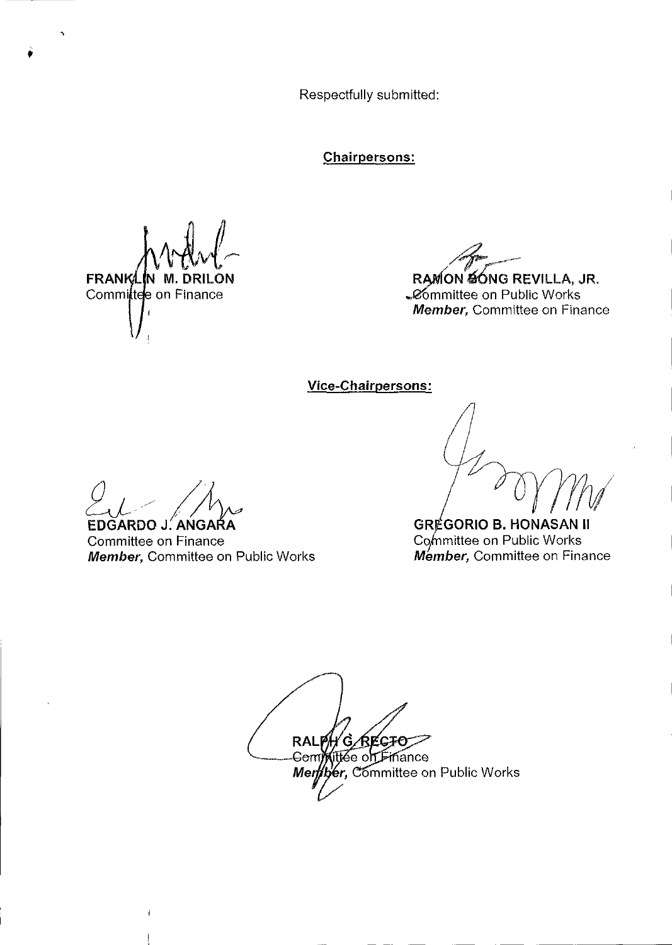Respectfully submitted:

**Chairpersons:** 

**FRANKLIN M. DRIL** .ON Committee on Finance

RAMON SONG REVILLA, JR.

**Committee on Public Works** Member, Committee on Finance

Vice-Chairpersons:

EDGARDO J. ANGARA

Committee on Finance Member, Committee on Public Works

**GRÉGORIO B. HONASAN II** Committee on Public Works Member, Committee on Finance

**RALP** G/REGFO Gem**ixitice** on Finance Mertber, Committee on Public Works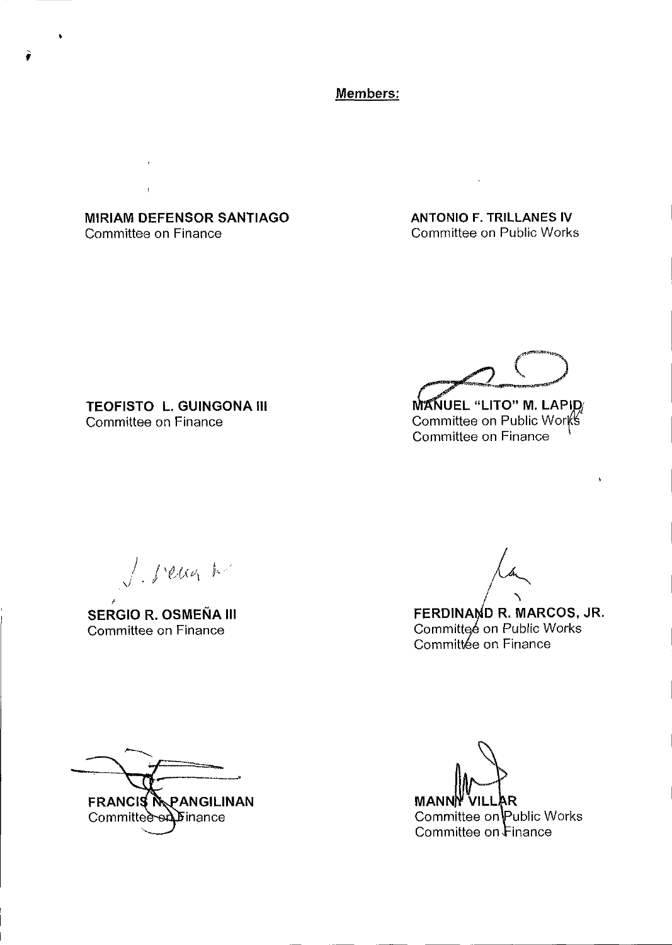Members:

**MIRIAM DEFENSOR SANTIAGO** Committee on Finance

**ANTONIO F. TRILLANES IV** Committee on Public Works

**TEOFISTO L. GUINGONA III** Committee on Finance

MANUEL "LITO" M. LAPID<br>Committee on Public Works<br>Committee on Finance

J. seugh

**SERGIO R. OSMEÑA III** Committee on Finance

FERDINAND R. MARCOS, JR.<br>Committee on Public Works

Committée on Finance

**FRANCIS MPANGILINAN** Committee ed Finance

**MANN** R. Committee on Public Works Committee on Finance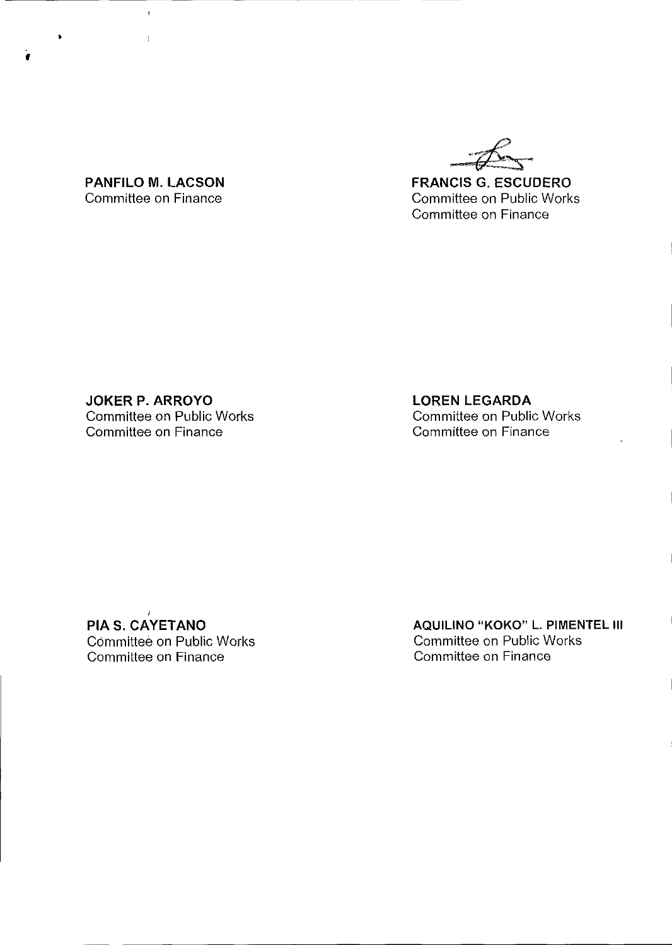**FRANCIS G. ESCUDERO**  Committee on Public Works Committee on Finance

**PANFILO M. LACSON**  Committee on Finance

 $\bar{\bar{t}}$ 

 $\bar{1}$ 

•

f

**JOKER P. ARROYO**  Committee on Public Works Committee on Finance

**LOREN LEGARDA**  Committee on Public Works Committee on Finance

I **PIA S. CAYETANO**  Committee on Public Works Committee on Finance

**AQUILINO "KOKO" L. PIMENTEL III**  Committee on Public Works Committee on Finance